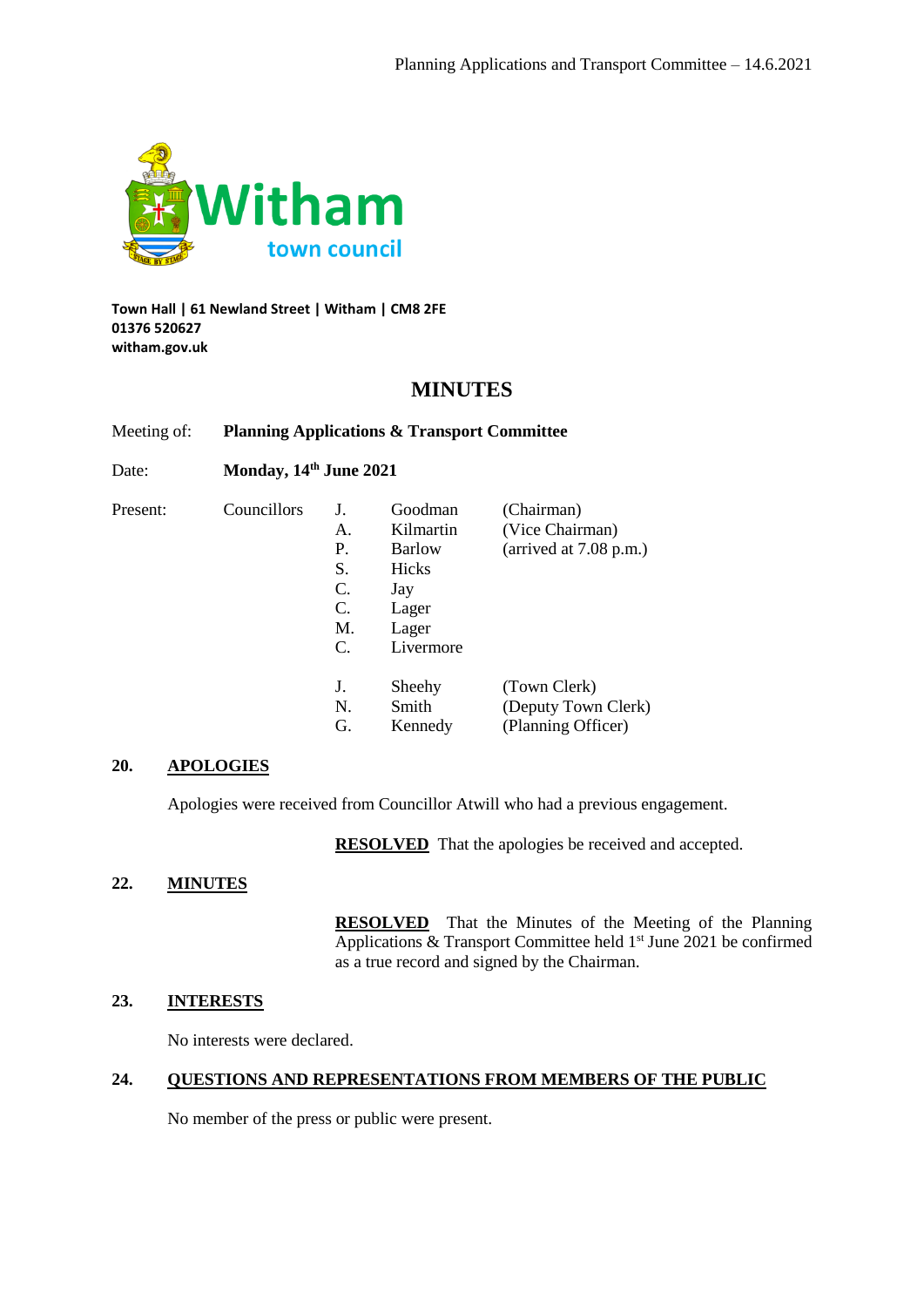

#### **Town Hall | 61 Newland Street | Witham | CM8 2FE 01376 520627 witham.gov.uk**

# **MINUTES**

Meeting of: **Planning Applications & Transport Committee**

Date: **Monday, 14th June 2021**

Councillors

| J.              | Goodman       | (Chairman)               |
|-----------------|---------------|--------------------------|
| $\mathsf{A}$    | Kilmartin     | (Vice Chairman)          |
| P.              | <b>Barlow</b> | (arrived at $7.08$ p.m.) |
| S.              | Hicks         |                          |
| C.              | Jay           |                          |
| C.              | Lager         |                          |
| M.              | Lager         |                          |
| $\mathcal{C}$ . | Livermore     |                          |
|                 |               |                          |
| J.              | Sheehy        | (Town Clerk)             |
| N.              | Smith         | (Deputy Town Clerk)      |
| G.              | Kennedy       | (Planning Officer)       |

## **20. APOLOGIES**

Apologies were received from Councillor Atwill who had a previous engagement.

**RESOLVED** That the apologies be received and accepted.

## **22. MINUTES**

**RESOLVED** That the Minutes of the Meeting of the Planning Applications  $&$  Transport Committee held  $1<sup>st</sup>$  June 2021 be confirmed as a true record and signed by the Chairman.

# **23. INTERESTS**

No interests were declared.

## **24. QUESTIONS AND REPRESENTATIONS FROM MEMBERS OF THE PUBLIC**

No member of the press or public were present.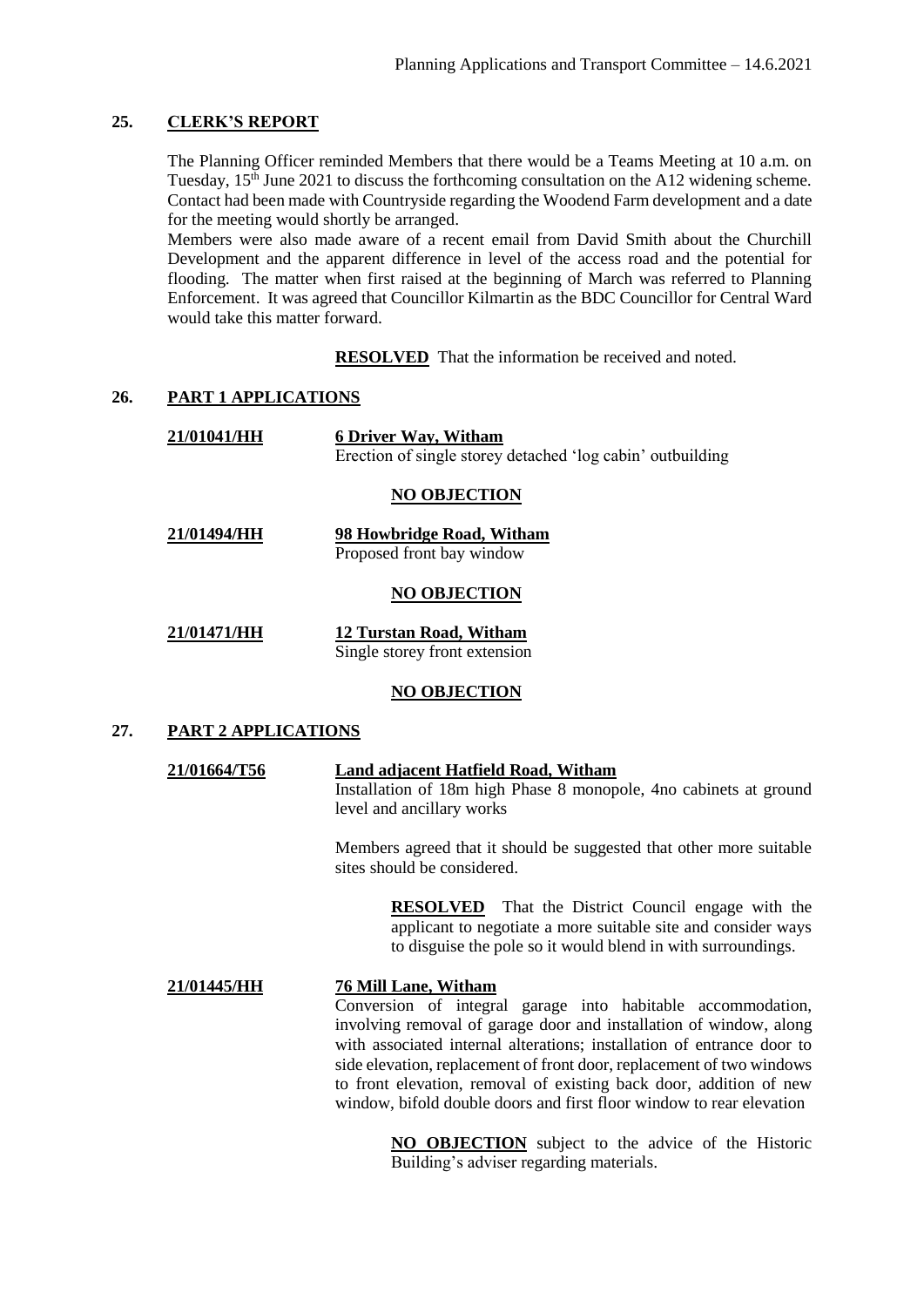## **25. CLERK'S REPORT**

The Planning Officer reminded Members that there would be a Teams Meeting at 10 a.m. on Tuesday,  $15<sup>th</sup>$  June 2021 to discuss the forthcoming consultation on the A12 widening scheme. Contact had been made with Countryside regarding the Woodend Farm development and a date for the meeting would shortly be arranged.

Members were also made aware of a recent email from David Smith about the Churchill Development and the apparent difference in level of the access road and the potential for flooding. The matter when first raised at the beginning of March was referred to Planning Enforcement. It was agreed that Councillor Kilmartin as the BDC Councillor for Central Ward would take this matter forward.

**RESOLVED** That the information be received and noted.

## **26. PART 1 APPLICATIONS**

| 21/01041/HH          | <b>6 Driver Way, Witham</b>                                |  |  |
|----------------------|------------------------------------------------------------|--|--|
|                      | Erection of single storey detached 'log cabin' outbuilding |  |  |
| <b>MO OB IROTION</b> |                                                            |  |  |

# **NO OBJECTION**

**21/01494/HH 98 Howbridge Road, Witham** Proposed front bay window

#### **NO OBJECTION**

| 21/01471/HH | <b>12 Turstan Road, Witham</b> |
|-------------|--------------------------------|
|             | Single storey front extension  |

## **NO OBJECTION**

## **27. PART 2 APPLICATIONS**

#### **21/01664/T56 Land adjacent Hatfield Road, Witham**

Installation of 18m high Phase 8 monopole, 4no cabinets at ground level and ancillary works

Members agreed that it should be suggested that other more suitable sites should be considered.

> **RESOLVED** That the District Council engage with the applicant to negotiate a more suitable site and consider ways to disguise the pole so it would blend in with surroundings.

## **21/01445/HH 76 Mill Lane, Witham** Conversion of integral garage into habitable accommodation, involving removal of garage door and installation of window, along with associated internal alterations; installation of entrance door to side elevation, replacement of front door, replacement of two windows to front elevation, removal of existing back door, addition of new window, bifold double doors and first floor window to rear elevation

**NO OBJECTION** subject to the advice of the Historic Building's adviser regarding materials.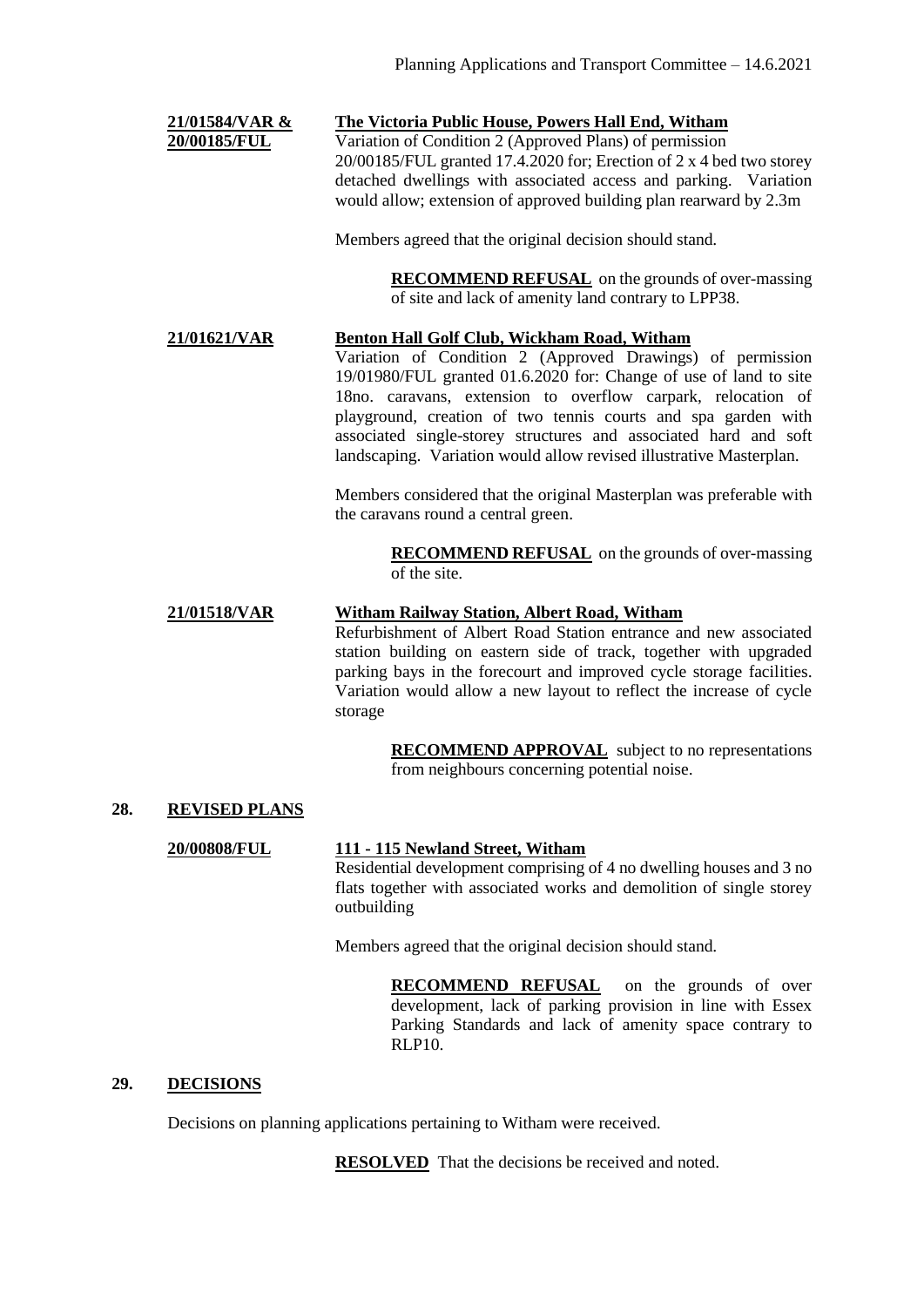## **21/01584/VAR & The Victoria Public House, Powers Hall End, Witham**

**20/00185/FUL** Variation of Condition 2 (Approved Plans) of permission 20/00185/FUL granted 17.4.2020 for; Erection of 2 x 4 bed two storey detached dwellings with associated access and parking. Variation would allow; extension of approved building plan rearward by 2.3m

Members agreed that the original decision should stand.

**RECOMMEND REFUSAL** on the grounds of over-massing of site and lack of amenity land contrary to LPP38.

## **21/01621/VAR Benton Hall Golf Club, Wickham Road, Witham**

Variation of Condition 2 (Approved Drawings) of permission 19/01980/FUL granted 01.6.2020 for: Change of use of land to site 18no. caravans, extension to overflow carpark, relocation of playground, creation of two tennis courts and spa garden with associated single-storey structures and associated hard and soft landscaping. Variation would allow revised illustrative Masterplan.

Members considered that the original Masterplan was preferable with the caravans round a central green.

> **RECOMMEND REFUSAL** on the grounds of over-massing of the site.

### **21/01518/VAR Witham Railway Station, Albert Road, Witham**

Refurbishment of Albert Road Station entrance and new associated station building on eastern side of track, together with upgraded parking bays in the forecourt and improved cycle storage facilities. Variation would allow a new layout to reflect the increase of cycle storage

> **RECOMMEND APPROVAL** subject to no representations from neighbours concerning potential noise.

## **28. REVISED PLANS**

**20/00808/FUL 111 - 115 Newland Street, Witham** Residential development comprising of 4 no dwelling houses and 3 no flats together with associated works and demolition of single storey outbuilding

Members agreed that the original decision should stand.

**RECOMMEND REFUSAL** on the grounds of over development, lack of parking provision in line with Essex Parking Standards and lack of amenity space contrary to RLP10.

#### **29. DECISIONS**

Decisions on planning applications pertaining to Witham were received.

**RESOLVED** That the decisions be received and noted.